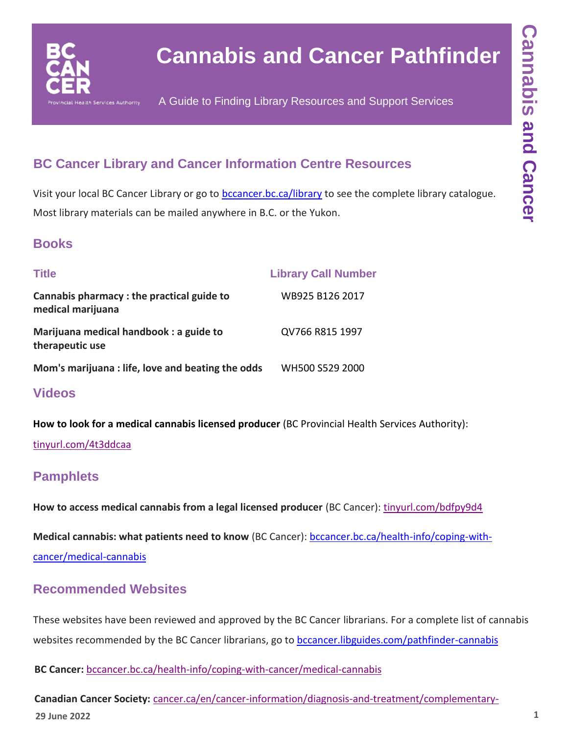

# **Cannabis and Cancer Pathfinder**

A Guide to Finding Library Resources and Support Services

# **BC Cancer Library and Cancer Information Centre Resources**

Visit your local BC Cancer Library or go to **[bccancer.bc.ca/library](http://www.bccancer.bc.ca/library)** to see the complete library catalogue. Most library materials can be mailed anywhere in B.C. or the Yukon.

## **Books**

| <b>Title</b>                                                   | <b>Library Call Number</b> |
|----------------------------------------------------------------|----------------------------|
| Cannabis pharmacy: the practical guide to<br>medical marijuana | WB925 B126 2017            |
| Marijuana medical handbook: a guide to<br>therapeutic use      | QV766 R815 1997            |
| Mom's marijuana: life, love and beating the odds               | WH500 S529 2000            |

### **Videos**

**How to look for a medical cannabis licensed producer** (BC Provincial Health Services Authority):

#### [tinyurl.com/4t3ddcaa](https://tinyurl.com/4t3ddcaa)

## **Pamphlets**

How to access medical cannabis from a legal licensed producer (BC Cancer): [tinyurl.com/bdfpy9d4](https://tinyurl.com/bdfpy9d4)

**Medical cannabis: what patients need to know** (BC Cancer): [bccancer.bc.ca/health-info/coping-with-](http://www.bccancer.bc.ca/health-info/coping-with-cancer/medical-cannabis)

[cancer/medical-cannabis](http://www.bccancer.bc.ca/health-info/coping-with-cancer/medical-cannabis)

## **Recommended Websites**

These websites have been reviewed and approved by the BC Cancer librarians. For a complete list of cannabis websites recommended by the BC Cancer librarians, go to [bccancer.libguides.com/pathfinder-cannabis](https://bccancer.libguides.com/pathfinder-cannabis)

**BC Cancer:** [bccancer.bc.ca/health-info/coping-with-cancer/medical-cannabis](http://www.bccancer.bc.ca/health-info/coping-with-cancer/medical-cannabis)

**29 June 2022 1 Canadian Cancer Society:** [cancer.ca/en/cancer-information/diagnosis-and-treatment/complementary-](https://www.cancer.ca/en/cancer-information/diagnosis-and-treatment/complementary-therapies/medical-cannabis-and-cannabinoids/?region=on)